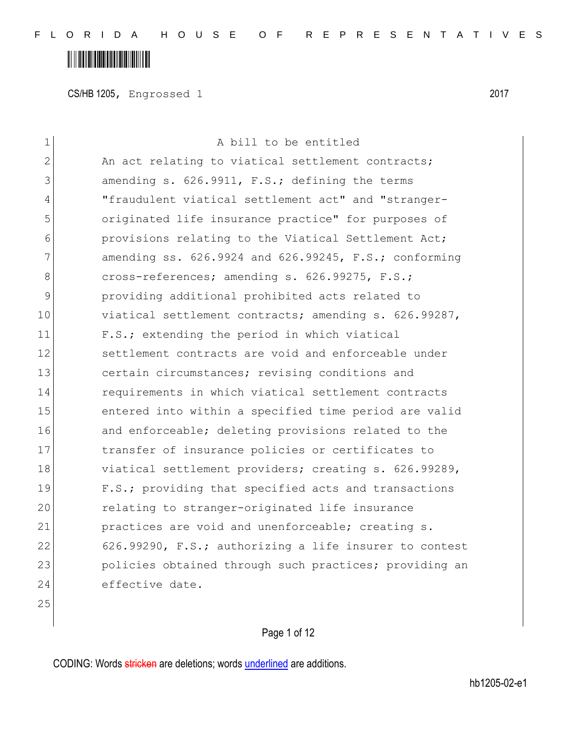#### **THE REAL PROPERTY OF PROPERTY**

CS/HB 1205, Engrossed 1 2017

| $\mathbf 1$ | A bill to be entitled                                      |
|-------------|------------------------------------------------------------|
| 2           | An act relating to viatical settlement contracts;          |
| 3           | amending s. 626.9911, F.S.; defining the terms             |
| 4           | "fraudulent viatical settlement act" and "stranger-        |
| 5           | originated life insurance practice" for purposes of        |
| 6           | provisions relating to the Viatical Settlement Act;        |
| 7           | amending ss. $626.9924$ and $626.99245$ , F.S.; conforming |
| 8           | cross-references; amending s. 626.99275, F.S.;             |
| 9           | providing additional prohibited acts related to            |
| 10          | viatical settlement contracts; amending s. 626.99287,      |
| 11          | F.S.; extending the period in which viatical               |
| 12          | settlement contracts are void and enforceable under        |
| 13          | certain circumstances; revising conditions and             |
| 14          | requirements in which viatical settlement contracts        |
| 15          | entered into within a specified time period are valid      |
| 16          | and enforceable; deleting provisions related to the        |
| 17          | transfer of insurance policies or certificates to          |
| 18          | viatical settlement providers; creating s. 626.99289,      |
| 19          | F.S.; providing that specified acts and transactions       |
| 20          | relating to stranger-originated life insurance             |
| 21          | practices are void and unenforceable; creating s.          |
| 22          | 626.99290, F.S.; authorizing a life insurer to contest     |
| 23          | policies obtained through such practices; providing an     |
| 24          | effective date.                                            |
| $\sim$ $-$  |                                                            |

Page 1 of 12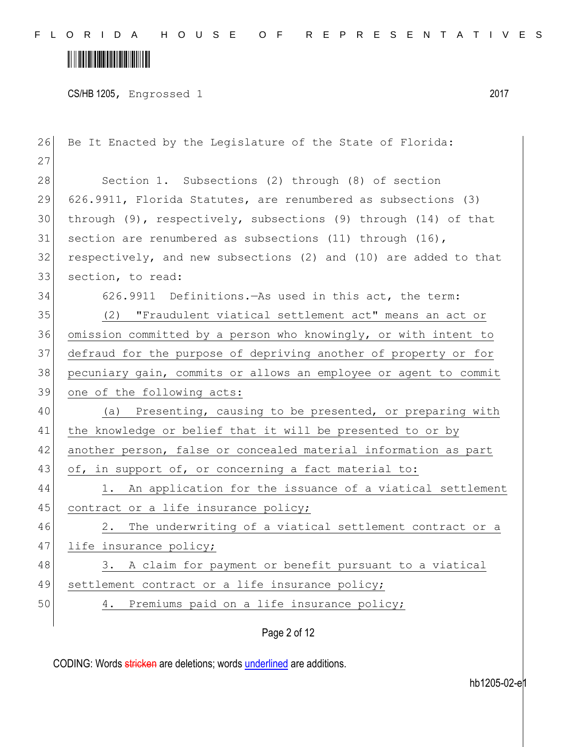# 

CS/HB 1205, Engrossed 1 2017

| Be It Enacted by the Legislature of the State of Florida:              |
|------------------------------------------------------------------------|
|                                                                        |
| Section 1. Subsections (2) through (8) of section                      |
| 626.9911, Florida Statutes, are renumbered as subsections (3)          |
| through $(9)$ , respectively, subsections $(9)$ through $(14)$ of that |
| section are renumbered as subsections (11) through $(16)$ ,            |
| respectively, and new subsections (2) and (10) are added to that       |
| section, to read:                                                      |
| 626.9911 Definitions. As used in this act, the term:                   |
| (2) "Fraudulent viatical settlement act" means an act or               |
| omission committed by a person who knowingly, or with intent to        |
| defraud for the purpose of depriving another of property or for        |
| pecuniary gain, commits or allows an employee or agent to commit       |
| one of the following acts:                                             |
| (a) Presenting, causing to be presented, or preparing with             |
| the knowledge or belief that it will be presented to or by             |
| another person, false or concealed material information as part        |
| of, in support of, or concerning a fact material to:                   |
| 1. An application for the issuance of a viatical settlement            |
| contract or a life insurance policy;                                   |
| The underwriting of a viatical settlement contract or a<br>2.          |
| life insurance policy;                                                 |
| A claim for payment or benefit pursuant to a viatical<br>3.            |
| settlement contract or a life insurance policy;                        |
| Premiums paid on a life insurance policy;<br>4.                        |
| Page 2 of 12                                                           |
|                                                                        |

CODING: Words stricken are deletions; words underlined are additions.

hb1205-02-e1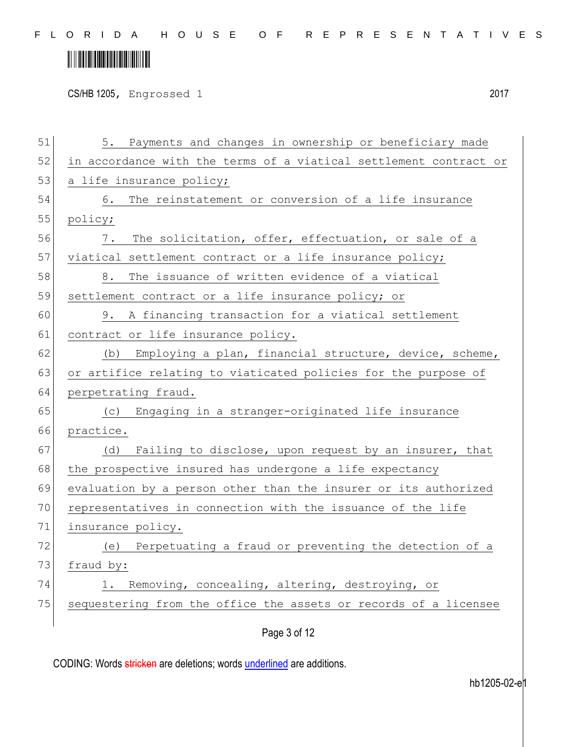# 

CS/HB 1205, Engrossed 1 2017

| 51 | 5. Payments and changes in ownership or beneficiary made          |
|----|-------------------------------------------------------------------|
| 52 | in accordance with the terms of a viatical settlement contract or |
| 53 | a life insurance policy;                                          |
| 54 | The reinstatement or conversion of a life insurance<br>6.         |
| 55 | policy;                                                           |
| 56 | The solicitation, offer, effectuation, or sale of a<br>$7$ .      |
| 57 | viatical settlement contract or a life insurance policy;          |
| 58 | The issuance of written evidence of a viatical<br>8.              |
| 59 | settlement contract or a life insurance policy; or                |
| 60 | A financing transaction for a viatical settlement<br>9.           |
| 61 | contract or life insurance policy.                                |
| 62 | Employing a plan, financial structure, device, scheme,<br>(b)     |
| 63 | or artifice relating to viaticated policies for the purpose of    |
| 64 | perpetrating fraud.                                               |
| 65 | (c) Engaging in a stranger-originated life insurance              |
| 66 | practice.                                                         |
| 67 | Failing to disclose, upon request by an insurer, that<br>(d)      |
| 68 | the prospective insured has undergone a life expectancy           |
| 69 | evaluation by a person other than the insurer or its authorized   |
| 70 | representatives in connection with the issuance of the life       |
| 71 | insurance policy.                                                 |
| 72 | (e) Perpetuating a fraud or preventing the detection of a         |
| 73 | fraud by:                                                         |
| 74 | 1. Removing, concealing, altering, destroying, or                 |
| 75 | sequestering from the office the assets or records of a licensee  |
|    |                                                                   |

Page 3 of 12

CODING: Words stricken are deletions; words underlined are additions.

hb1205-02-e1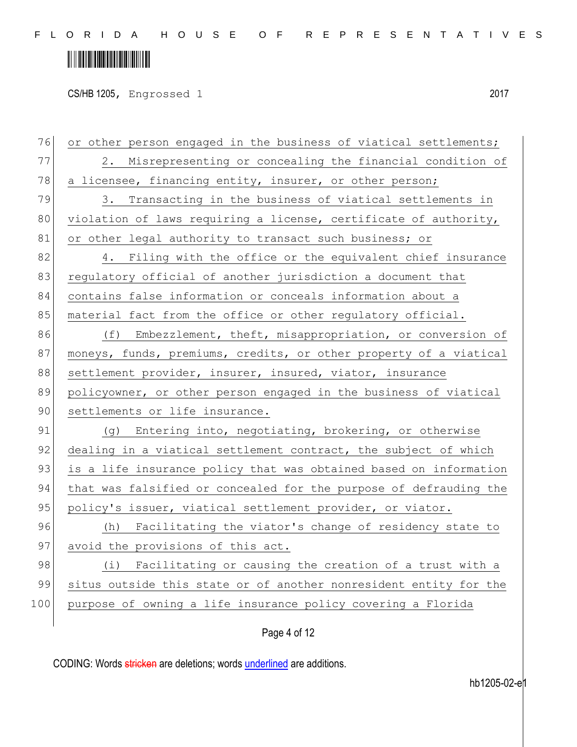CS/HB 1205, Engrossed 1 2017

76 or other person engaged in the business of viatical settlements; 77 2. Misrepresenting or concealing the financial condition of 78 a licensee, financing entity, insurer, or other person; 79 3. Transacting in the business of viatical settlements in 80 violation of laws requiring a license, certificate of authority, 81 or other legal authority to transact such business; or 82 4. Filing with the office or the equivalent chief insurance 83 regulatory official of another jurisdiction a document that 84 contains false information or conceals information about a 85 material fact from the office or other regulatory official. 86 (f) Embezzlement, theft, misappropriation, or conversion of 87 moneys, funds, premiums, credits, or other property of a viatical 88 settlement provider, insurer, insured, viator, insurance 89 policyowner, or other person engaged in the business of viatical 90 settlements or life insurance. 91 (g) Entering into, negotiating, brokering, or otherwise 92 dealing in a viatical settlement contract, the subject of which 93 is a life insurance policy that was obtained based on information 94 that was falsified or concealed for the purpose of defrauding the 95 policy's issuer, viatical settlement provider, or viator. 96 (h) Facilitating the viator's change of residency state to 97 avoid the provisions of this act. 98 (i) Facilitating or causing the creation of a trust with a 99 situs outside this state or of another nonresident entity for the 100 purpose of owning a life insurance policy covering a Florida

Page 4 of 12

CODING: Words stricken are deletions; words underlined are additions.

hb1205-02-e1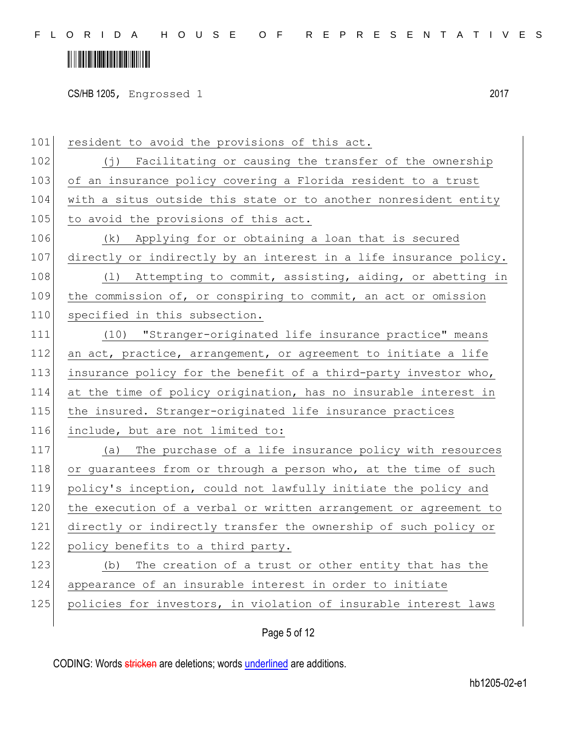# **IN THE REAL PROPERTY OF A SET OF A SET OF A SET OF A SET OF A SET OF A SET OF A SET OF A SET OF A SET**

CS/HB 1205, Engrossed 1 2017

101 resident to avoid the provisions of this act. 102 (j) Facilitating or causing the transfer of the ownership 103 of an insurance policy covering a Florida resident to a trust 104 with a situs outside this state or to another nonresident entity 105 to avoid the provisions of this act. 106 (k) Applying for or obtaining a loan that is secured 107 directly or indirectly by an interest in a life insurance policy. 108 (1) Attempting to commit, assisting, aiding, or abetting in 109 the commission of, or conspiring to commit, an act or omission 110 specified in this subsection. 111 (10) "Stranger-originated life insurance practice" means 112 an act, practice, arrangement, or agreement to initiate a life 113 insurance policy for the benefit of a third-party investor who, 114 at the time of policy origination, has no insurable interest in 115 the insured. Stranger-originated life insurance practices 116 include, but are not limited to: 117 (a) The purchase of a life insurance policy with resources 118 or quarantees from or through a person who, at the time of such 119 policy's inception, could not lawfully initiate the policy and 120 the execution of a verbal or written arrangement or agreement to 121 directly or indirectly transfer the ownership of such policy or 122 policy benefits to a third party. 123 (b) The creation of a trust or other entity that has the 124 appearance of an insurable interest in order to initiate 125 policies for investors, in violation of insurable interest laws

Page 5 of 12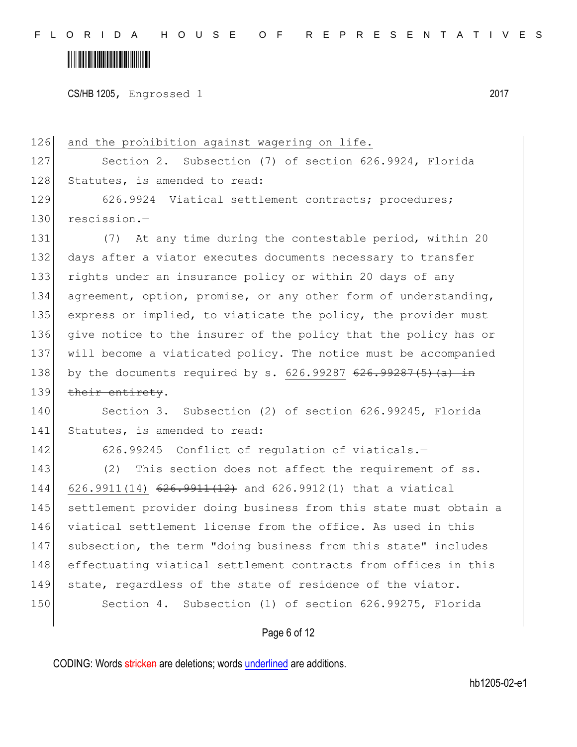CS/HB 1205, Engrossed 1 2017

126 and the prohibition against wagering on life. 127 Section 2. Subsection (7) of section 626.9924, Florida 128 Statutes, is amended to read: 129 626.9924 Viatical settlement contracts; procedures; 130 rescission.-131 (7) At any time during the contestable period, within 20 132 days after a viator executes documents necessary to transfer 133 rights under an insurance policy or within 20 days of any 134 agreement, option, promise, or any other form of understanding, 135 express or implied, to viaticate the policy, the provider must 136 give notice to the insurer of the policy that the policy has or 137 will become a viaticated policy. The notice must be accompanied 138 by the documents required by s.  $626.9928763287(5)(a)$  in 139 their entirety. 140 Section 3. Subsection (2) of section 626.99245, Florida 141 Statutes, is amended to read: 142 626.99245 Conflict of regulation of viaticals.-143 (2) This section does not affect the requirement of ss. 144 626.9911(14) 626.9911(12) and 626.9912(1) that a viatical 145 | settlement provider doing business from this state must obtain a 146 viatical settlement license from the office. As used in this 147 subsection, the term "doing business from this state" includes 148 effectuating viatical settlement contracts from offices in this 149 state, regardless of the state of residence of the viator. 150 Section 4. Subsection (1) of section 626.99275, Florida

Page 6 of 12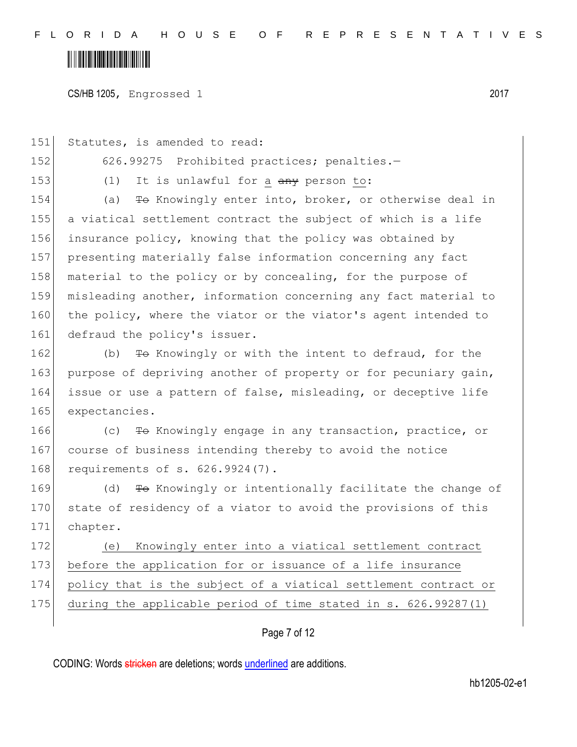CS/HB 1205, Engrossed 1 2017

Page 7 of 12 151 Statutes, is amended to read: 152 626.99275 Prohibited practices; penalties.-153  $(1)$  It is unlawful for a  $\frac{any}{any}$  person to: 154 (a) To Knowingly enter into, broker, or otherwise deal in 155 a viatical settlement contract the subject of which is a life 156 insurance policy, knowing that the policy was obtained by 157 presenting materially false information concerning any fact 158 material to the policy or by concealing, for the purpose of 159 misleading another, information concerning any fact material to 160 the policy, where the viator or the viator's agent intended to 161 defraud the policy's issuer. 162 (b) To Knowingly or with the intent to defraud, for the 163 purpose of depriving another of property or for pecuniary gain, 164 issue or use a pattern of false, misleading, or deceptive life 165 expectancies. 166 (c) To Knowingly engage in any transaction, practice, or 167 course of business intending thereby to avoid the notice 168 requirements of s. 626.9924(7). 169 (d) <del>To</del> Knowingly or intentionally facilitate the change of 170 state of residency of a viator to avoid the provisions of this 171 chapter. 172 (e) Knowingly enter into a viatical settlement contract 173 before the application for or issuance of a life insurance 174 policy that is the subject of a viatical settlement contract or 175 during the applicable period of time stated in s. 626.99287(1)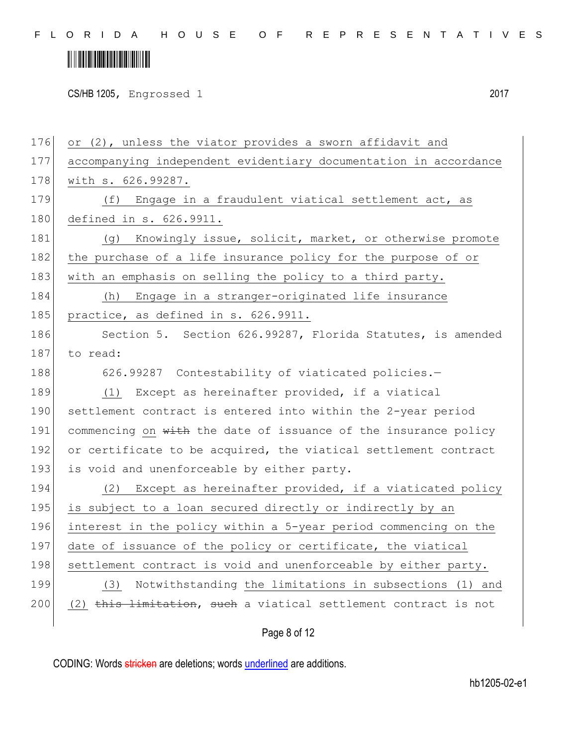### 

CS/HB 1205, Engrossed 1 2017

Page 8 of 12 176 or (2), unless the viator provides a sworn affidavit and 177 accompanying independent evidentiary documentation in accordance 178 with s. 626.99287. 179 (f) Engage in a fraudulent viatical settlement act, as 180 defined in s. 626.9911. 181 (g) Knowingly issue, solicit, market, or otherwise promote 182 the purchase of a life insurance policy for the purpose of or 183 with an emphasis on selling the policy to a third party. 184 (h) Engage in a stranger-originated life insurance 185 practice, as defined in s. 626.9911. 186 Section 5. Section 626.99287, Florida Statutes, is amended 187 to read: 188 626.99287 Contestability of viaticated policies.-189 (1) Except as hereinafter provided, if a viatical 190 settlement contract is entered into within the 2-year period 191 commencing on with the date of issuance of the insurance policy 192 or certificate to be acquired, the viatical settlement contract 193 is void and unenforceable by either party. 194 (2) Except as hereinafter provided, if a viaticated policy 195 is subject to a loan secured directly or indirectly by an 196 interest in the policy within a 5-year period commencing on the 197 date of issuance of the policy or certificate, the viatical 198 settlement contract is void and unenforceable by either party. 199 (3) Notwithstanding the limitations in subsections (1) and  $200$  (2) this limitation, such a viatical settlement contract is not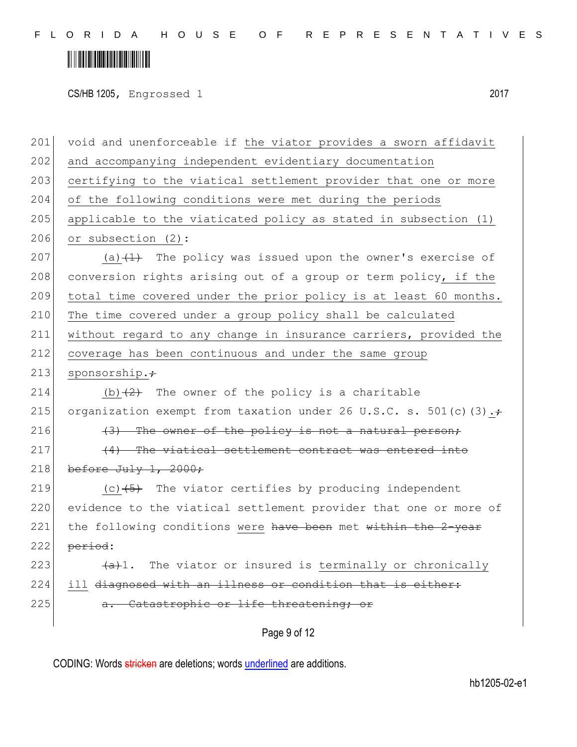CS/HB 1205, Engrossed 1 2017

Page 9 of 12 201 void and unenforceable if the viator provides a sworn affidavit 202 and accompanying independent evidentiary documentation 203 certifying to the viatical settlement provider that one or more 204 of the following conditions were met during the periods 205 applicable to the viaticated policy as stated in subsection (1) 206 or subsection (2): 207 (a) $(1)$  The policy was issued upon the owner's exercise of 208 conversion rights arising out of a group or term policy, if the 209 total time covered under the prior policy is at least 60 months. 210 The time covered under a group policy shall be calculated 211 without regard to any change in insurance carriers, provided the 212 coverage has been continuous and under the same group 213 sponsorship. $\div$ 214 (b) $(2)$  The owner of the policy is a charitable 215 organization exempt from taxation under 26 U.S.C. s. 501(c)(3). $\div$ 216  $(3)$  The owner of the policy is not a natural person;  $217$  (4) The viatical settlement contract was entered into 218 before July 1, 2000; 219  $(c)$   $(5)$  The viator certifies by producing independent 220 evidence to the viatical settlement provider that one or more of 221 the following conditions were have been met within the  $2$ -year  $222$  period: 223  $\left(4\right)$ . The viator or insured is terminally or chronically 224 ill <del>diagnosed with an illness or condition that is either:</del> 225 **a.** Catastrophic or life threatening; or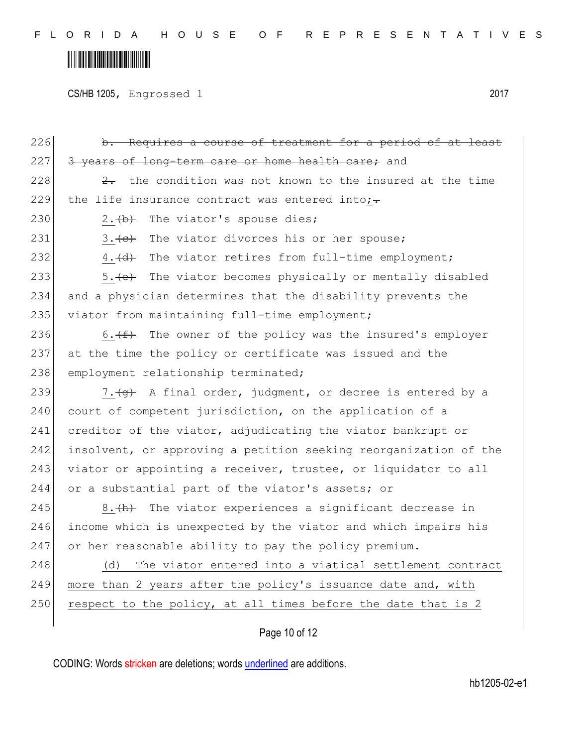CS/HB 1205, Engrossed 1 2017

| 226 | b. Requires a course of treatment for a period of at least       |
|-----|------------------------------------------------------------------|
| 227 | 3 years of long-term care or home health care; and               |
| 228 | 2. the condition was not known to the insured at the time        |
| 229 | the life insurance contract was entered into;-                   |
| 230 | The viator's spouse dies;<br>2. $\leftrightarrow$                |
| 231 | 3. (e) The viator divorces his or her spouse;                    |
| 232 | 4. (d) The viator retires from full-time employment;             |
| 233 | 5. (e) The viator becomes physically or mentally disabled        |
| 234 | and a physician determines that the disability prevents the      |
| 235 | viator from maintaining full-time employment;                    |
| 236 | 6. $(f)$ The owner of the policy was the insured's employer      |
| 237 | at the time the policy or certificate was issued and the         |
| 238 | employment relationship terminated;                              |
| 239 | 7. (g) A final order, judgment, or decree is entered by a        |
| 240 | court of competent jurisdiction, on the application of a         |
| 241 | creditor of the viator, adjudicating the viator bankrupt or      |
| 242 | insolvent, or approving a petition seeking reorganization of the |
| 243 | viator or appointing a receiver, trustee, or liquidator to all   |
| 244 | or a substantial part of the viator's assets; or                 |
| 245 | 8. (h) The viator experiences a significant decrease in          |
| 246 | income which is unexpected by the viator and which impairs his   |
| 247 | or her reasonable ability to pay the policy premium.             |
| 248 | The viator entered into a viatical settlement contract<br>(d)    |
| 249 | more than 2 years after the policy's issuance date and, with     |
| 250 | respect to the policy, at all times before the date that is 2    |
|     |                                                                  |

#### Page 10 of 12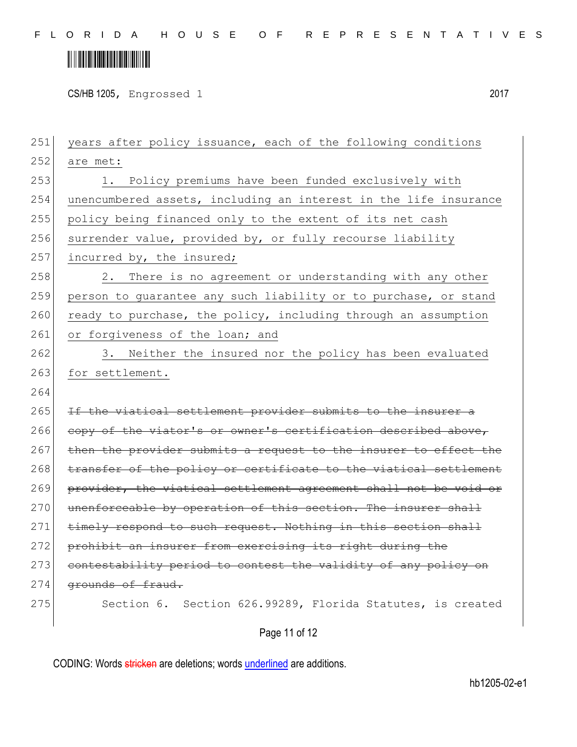# 

CS/HB 1205, Engrossed 1 2017

251 years after policy issuance, each of the following conditions 252 are met: 253 1. Policy premiums have been funded exclusively with 254 unencumbered assets, including an interest in the life insurance 255 policy being financed only to the extent of its net cash 256 surrender value, provided by, or fully recourse liability 257 incurred by, the insured; 258 2. There is no agreement or understanding with any other 259 person to quarantee any such liability or to purchase, or stand 260 ready to purchase, the policy, including through an assumption 261 or forgiveness of the loan; and 262 3. Neither the insured nor the policy has been evaluated 263 for settlement. 264 265 If the viatical settlement provider submits to the insurer a 266 copy of the viator's or owner's certification described above,  $267$  then the provider submits a request to the insurer to effect 268 transfer of the policy or certificate to the viatical settlement 269 provider, the viatical settlement agreement shall not be void or 270 unenforceable by operation of this section. The insurer shall 271 timely respond to such request. Nothing in this section shall 272 prohibit an insurer from exercising its right during the 273 contestability period to contest the validity of any policy on 274 grounds of fraud. 275 Section 6. Section 626.99289, Florida Statutes, is created

Page 11 of 12